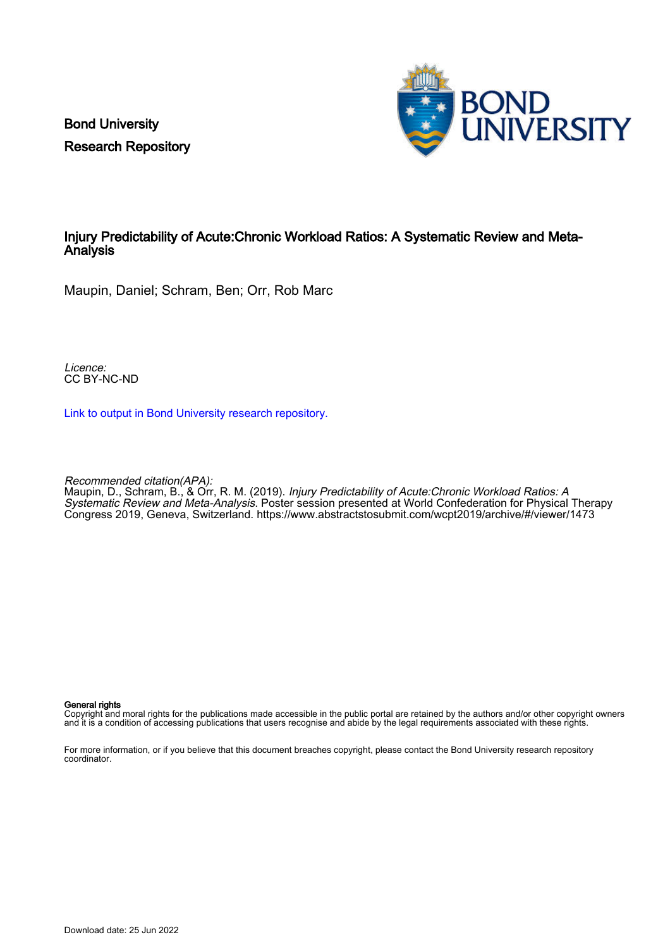Bond University Research Repository



### Injury Predictability of Acute:Chronic Workload Ratios: A Systematic Review and Meta-Analysis

Maupin, Daniel; Schram, Ben; Orr, Rob Marc

Licence: CC BY-NC-ND

[Link to output in Bond University research repository.](https://research.bond.edu.au/en/publications/6a109d46-73bc-4934-beff-b3b5d8ebdbf2)

Recommended citation(APA):

Maupin, D., Schram, B., & Orr, R. M. (2019). Injury Predictability of Acute:Chronic Workload Ratios: A Systematic Review and Meta-Analysis. Poster session presented at World Confederation for Physical Therapy Congress 2019, Geneva, Switzerland.<https://www.abstractstosubmit.com/wcpt2019/archive/#/viewer/1473>

### General rights

Copyright and moral rights for the publications made accessible in the public portal are retained by the authors and/or other copyright owners and it is a condition of accessing publications that users recognise and abide by the legal requirements associated with these rights.

For more information, or if you believe that this document breaches copyright, please contact the Bond University research repository coordinator.